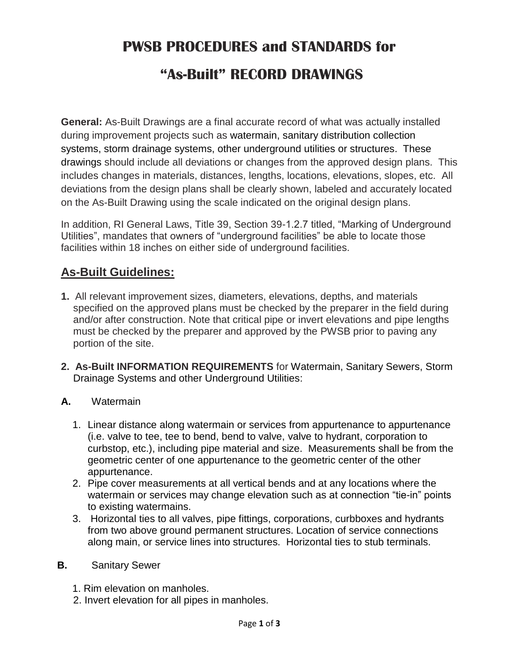## **PWSB PROCEDURES and STANDARDS for "As-Built" RECORD DRAWINGS**

**General:** As-Built Drawings are a final accurate record of what was actually installed during improvement projects such as watermain, sanitary distribution collection systems, storm drainage systems, other underground utilities or structures. These drawings should include all deviations or changes from the approved design plans. This includes changes in materials, distances, lengths, locations, elevations, slopes, etc. All deviations from the design plans shall be clearly shown, labeled and accurately located on the As-Built Drawing using the scale indicated on the original design plans.

In addition, RI General Laws, Title 39, Section 39-1.2.7 titled, "Marking of Underground Utilities", mandates that owners of "underground facilities" be able to locate those facilities within 18 inches on either side of underground facilities.

## **As-Built Guidelines:**

- **1.** All relevant improvement sizes, diameters, elevations, depths, and materials specified on the approved plans must be checked by the preparer in the field during and/or after construction. Note that critical pipe or invert elevations and pipe lengths must be checked by the preparer and approved by the PWSB prior to paving any portion of the site.
- **2. As-Built INFORMATION REQUIREMENTS** for Watermain, Sanitary Sewers, Storm Drainage Systems and other Underground Utilities:
- **A.** Watermain
	- 1. Linear distance along watermain or services from appurtenance to appurtenance (i.e. valve to tee, tee to bend, bend to valve, valve to hydrant, corporation to curbstop, etc.), including pipe material and size. Measurements shall be from the geometric center of one appurtenance to the geometric center of the other appurtenance.
	- 2. Pipe cover measurements at all vertical bends and at any locations where the watermain or services may change elevation such as at connection "tie-in" points to existing watermains.
	- 3. Horizontal ties to all valves, pipe fittings, corporations, curbboxes and hydrants from two above ground permanent structures. Location of service connections along main, or service lines into structures. Horizontal ties to stub terminals.
- **B.** Sanitary Sewer
	- 1. Rim elevation on manholes.
	- 2. Invert elevation for all pipes in manholes.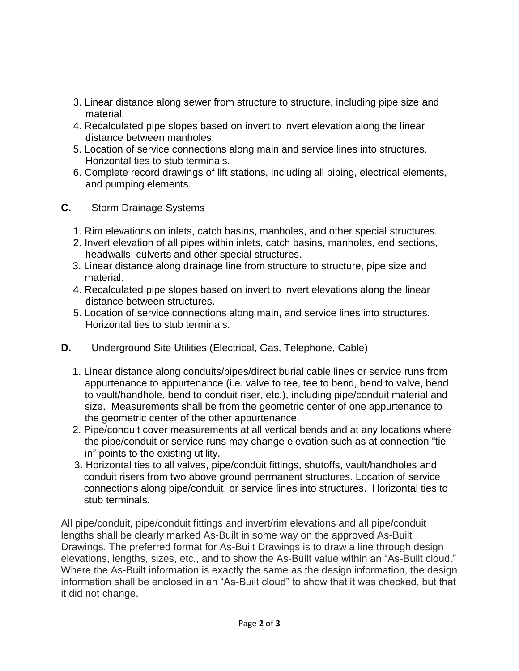- 3. Linear distance along sewer from structure to structure, including pipe size and material.
- 4. Recalculated pipe slopes based on invert to invert elevation along the linear distance between manholes.
- 5. Location of service connections along main and service lines into structures. Horizontal ties to stub terminals.
- 6. Complete record drawings of lift stations, including all piping, electrical elements, and pumping elements.
- **C.** Storm Drainage Systems
	- 1. Rim elevations on inlets, catch basins, manholes, and other special structures.
	- 2. Invert elevation of all pipes within inlets, catch basins, manholes, end sections, headwalls, culverts and other special structures.
	- 3. Linear distance along drainage line from structure to structure, pipe size and material.
	- 4. Recalculated pipe slopes based on invert to invert elevations along the linear distance between structures.
	- 5. Location of service connections along main, and service lines into structures. Horizontal ties to stub terminals.
- **D.** Underground Site Utilities (Electrical, Gas, Telephone, Cable)
	- 1. Linear distance along conduits/pipes/direct burial cable lines or service runs from appurtenance to appurtenance (i.e. valve to tee, tee to bend, bend to valve, bend to vault/handhole, bend to conduit riser, etc.), including pipe/conduit material and size. Measurements shall be from the geometric center of one appurtenance to the geometric center of the other appurtenance.
	- 2. Pipe/conduit cover measurements at all vertical bends and at any locations where the pipe/conduit or service runs may change elevation such as at connection "tiein" points to the existing utility.
	- 3. Horizontal ties to all valves, pipe/conduit fittings, shutoffs, vault/handholes and conduit risers from two above ground permanent structures. Location of service connections along pipe/conduit, or service lines into structures. Horizontal ties to stub terminals.

All pipe/conduit, pipe/conduit fittings and invert/rim elevations and all pipe/conduit lengths shall be clearly marked As-Built in some way on the approved As-Built Drawings. The preferred format for As-Built Drawings is to draw a line through design elevations, lengths, sizes, etc., and to show the As-Built value within an "As-Built cloud." Where the As-Built information is exactly the same as the design information, the design information shall be enclosed in an "As-Built cloud" to show that it was checked, but that it did not change.